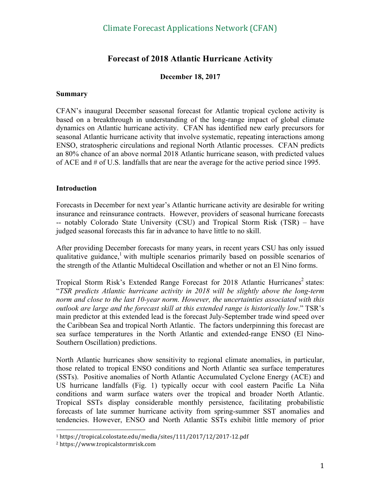# **Forecast of 2018 Atlantic Hurricane Activity**

#### **December 18, 2017**

#### **Summary**

CFAN's inaugural December seasonal forecast for Atlantic tropical cyclone activity is based on a breakthrough in understanding of the long-range impact of global climate dynamics on Atlantic hurricane activity. CFAN has identified new early precursors for seasonal Atlantic hurricane activity that involve systematic, repeating interactions among ENSO, stratospheric circulations and regional North Atlantic processes. CFAN predicts an 80% chance of an above normal 2018 Atlantic hurricane season, with predicted values of ACE and # of U.S. landfalls that are near the average for the active period since 1995.

#### **Introduction**

Forecasts in December for next year's Atlantic hurricane activity are desirable for writing insurance and reinsurance contracts. However, providers of seasonal hurricane forecasts -- notably Colorado State University (CSU) and Tropical Storm Risk (TSR) – have judged seasonal forecasts this far in advance to have little to no skill.

After providing December forecasts for many years, in recent years CSU has only issued qualitative guidance,<sup>1</sup> with multiple scenarios primarily based on possible scenarios of the strength of the Atlantic Multidecal Oscillation and whether or not an El Nino forms.

Tropical Storm Risk's Extended Range Forecast for 2018 Atlantic Hurricanes<sup>2</sup> states: "*TSR predicts Atlantic hurricane activity in 2018 will be slightly above the long-term norm and close to the last 10-year norm. However, the uncertainties associated with this outlook are large and the forecast skill at this extended range is historically low*." TSR's main predictor at this extended lead is the forecast July-September trade wind speed over the Caribbean Sea and tropical North Atlantic. The factors underpinning this forecast are sea surface temperatures in the North Atlantic and extended-range ENSO (El Nino-Southern Oscillation) predictions.

North Atlantic hurricanes show sensitivity to regional climate anomalies, in particular, those related to tropical ENSO conditions and North Atlantic sea surface temperatures (SSTs). Positive anomalies of North Atlantic Accumulated Cyclone Energy (ACE) and US hurricane landfalls (Fig. 1) typically occur with cool eastern Pacific La Niña conditions and warm surface waters over the tropical and broader North Atlantic. Tropical SSTs display considerable monthly persistence, facilitating probabilistic forecasts of late summer hurricane activity from spring-summer SST anomalies and tendencies. However, ENSO and North Atlantic SSTs exhibit little memory of prior

 

<sup>1</sup> https://tropical.colostate.edu/media/sites/111/2017/12/2017-12.pdf

<sup>2</sup> https://www.tropicalstormrisk.com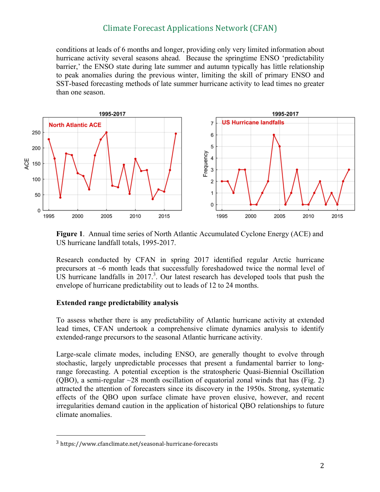## Climate Forecast Applications Network (CFAN)

conditions at leads of 6 months and longer, providing only very limited information about hurricane activity several seasons ahead. Because the springtime ENSO 'predictability barrier,' the ENSO state during late summer and autumn typically has little relationship to peak anomalies during the previous winter, limiting the skill of primary ENSO and SST-based forecasting methods of late summer hurricane activity to lead times no greater than one season.



**Figure 1**. Annual time series of North Atlantic Accumulated Cyclone Energy (ACE) and US hurricane landfall totals, 1995-2017.

Research conducted by CFAN in spring 2017 identified regular Arctic hurricane precursors at ~6 month leads that successfully foreshadowed twice the normal level of US hurricane landfalls in 2017.<sup>3</sup>. Our latest research has developed tools that push the envelope of hurricane predictability out to leads of 12 to 24 months.

#### **Extended range predictability analysis**

To assess whether there is any predictability of Atlantic hurricane activity at extended lead times, CFAN undertook a comprehensive climate dynamics analysis to identify extended-range precursors to the seasonal Atlantic hurricane activity.

Large-scale climate modes, including ENSO, are generally thought to evolve through stochastic, largely unpredictable processes that present a fundamental barrier to longrange forecasting. A potential exception is the stratospheric Quasi-Biennial Oscillation (OBO), a semi-regular  $\sim$ 28 month oscillation of equatorial zonal winds that has (Fig. 2) attracted the attention of forecasters since its discovery in the 1950s. Strong, systematic effects of the QBO upon surface climate have proven elusive, however, and recent irregularities demand caution in the application of historical QBO relationships to future climate anomalies.

 

<sup>3</sup> https://www.cfanclimate.net/seasonal-hurricane-forecasts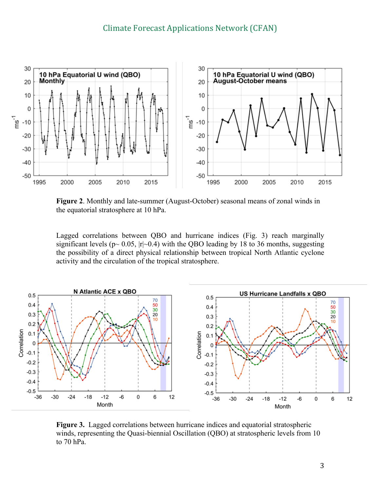

**Figure 2**. Monthly and late-summer (August-October) seasonal means of zonal winds in the equatorial stratosphere at 10 hPa.

Lagged correlations between QBO and hurricane indices (Fig. 3) reach marginally significant levels ( $p \sim 0.05$ ,  $|r| \sim 0.4$ ) with the QBO leading by 18 to 36 months, suggesting the possibility of a direct physical relationship between tropical North Atlantic cyclone activity and the circulation of the tropical stratosphere.



**Figure 3.** Lagged correlations between hurricane indices and equatorial stratospheric winds, representing the Quasi-biennial Oscillation (QBO) at stratospheric levels from 10 to 70 hPa.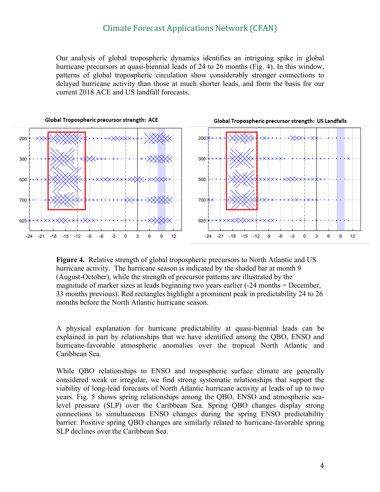Our analysis of global tropospheric dynamics identifies an intriguing spike in global hurricane precursors at quasi-biennial leads of 24 to 26 months (Fig. 4). In this window, patterns of global tropospheric circulation show considerably stronger connections to delayed hurricane activity than those at much shorter leads, and form the basis for our current 2018 ACE and US landfall forecasts.



**Figure 4.** Relative strength of global tropospheric precursors to North Atlantic and US hurricane activity. The hurricane season is indicated by the shaded bar at month 9 (August-October), while the strength of precursor patterns are illustrated by the magnitude of marker sizes at leads beginning two years earlier (-24 months = December, 33 months previous). Red rectangles highlight a prominent peak in predictability 24 to 26 months before the North Atlantic hurricane season.

A physical explanation for hurricane predictability at quasi-biennial leads can be explained in part by relationships that we have identified among the QBO, ENSO and hurricane-favorable atmospheric anomalies over the tropical North Atlantic and Caribbean Sea.

While QBO relationships to ENSO and tropospheric surface climate are generally considered weak or irregular, we find strong systematic relationships that support the viability of long-lead forecasts of North Atlantic hurricane activity at leads of up to two years. Fig. 5 shows spring relationships among the QBO, ENSO and atmospheric sealevel pressure (SLP) over the Caribbean Sea. Spring QBO changes display strong connections to simultaneous ENSO changes during the spring ENSO predictability barrier. Positive spring QBO changes are similarly related to hurricane-favorable spring SLP declines over the Caribbean Sea.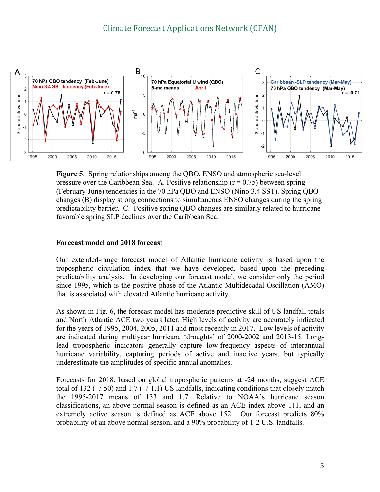

**Figure 5**. Spring relationships among the QBO, ENSO and atmospheric sea-level pressure over the Caribbean Sea. A. Positive relationship ( $r = 0.75$ ) between spring (February-June) tendencies in the 70 hPa QBO and ENSO (Nino 3.4 SST). Spring QBO changes (B) display strong connections to simultaneous ENSO changes during the spring predictability barrier. C. Positive spring QBO changes are similarly related to hurricanefavorable spring SLP declines over the Caribbean Sea.

#### **Forecast model and 2018 forecast**

Our extended-range forecast model of Atlantic hurricane activity is based upon the tropospheric circulation index that we have developed, based upon the preceding predictability analysis. In developing our forecast model, we consider only the period since 1995, which is the positive phase of the Atlantic Multidecadal Oscillation (AMO) that is associated with elevated Atlantic hurricane activity.

As shown in Fig. 6, the forecast model has moderate predictive skill of US landfall totals and North Atlantic ACE two years later. High levels of activity are accurately indicated for the years of 1995, 2004, 2005, 2011 and most recently in 2017. Low levels of activity are indicated during multiyear hurricane 'droughts' of 2000-2002 and 2013-15. Longlead tropospheric indicators generally capture low-frequency aspects of interannual hurricane variability, capturing periods of active and inactive years, but typically underestimate the amplitudes of specific annual anomalies.

Forecasts for 2018, based on global tropospheric patterns at -24 months, suggest ACE total of 132  $(+/-50)$  and 1.7  $(+/-1.1)$  US landfalls, indicating conditions that closely match the 1995-2017 means of 133 and 1.7. Relative to NOAA's hurricane season classifications, an above normal season is defined as an ACE index above 111, and an extremely active season is defined as ACE above 152. Our forecast predicts 80% probability of an above normal season, and a 90% probability of 1-2 U.S. landfalls.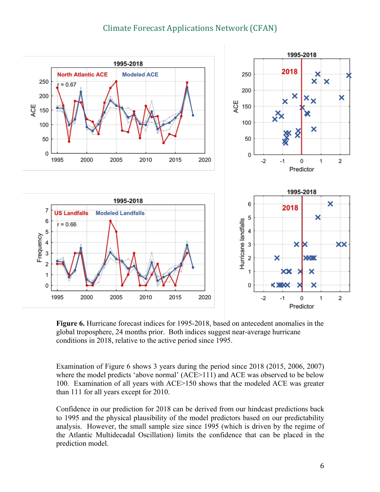# Climate Forecast Applications Network (CFAN)



**Figure 6.** Hurricane forecast indices for 1995-2018, based on antecedent anomalies in the global troposphere, 24 months prior. Both indices suggest near-average hurricane conditions in 2018, relative to the active period since 1995.

Examination of Figure 6 shows 3 years during the period since 2018 (2015, 2006, 2007) where the model predicts 'above normal' (ACE>111) and ACE was observed to be below 100. Examination of all years with ACE>150 shows that the modeled ACE was greater than 111 for all years except for 2010.

Confidence in our prediction for 2018 can be derived from our hindcast predictions back to 1995 and the physical plausibility of the model predictors based on our predictability analysis. However, the small sample size since 1995 (which is driven by the regime of the Atlantic Multidecadal Oscillation) limits the confidence that can be placed in the prediction model.